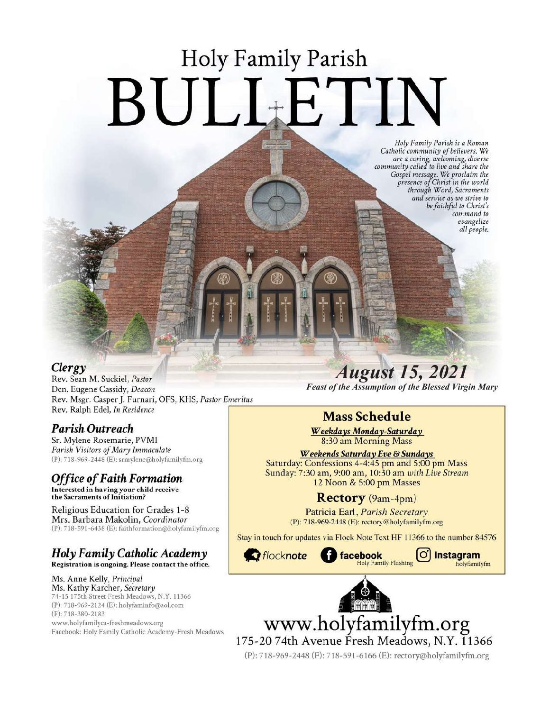# **Holy Family Parish** BULLETIN

Holy Family Parish is a Roman<br>Catholic community of believers. We and a caring, welcoming, diverse<br>community called to live and share the<br>Gospel message. We proclaim the<br>presence of Christ in the world through Word, Sacraments and service as we strive to be faithful to Christ's command to evangelize all people.

### Clergy

Rev. Sean M. Suckiel, Pastor Dcn. Eugene Cassidy, Deacon Rev. Msgr. Casper J. Furnari, OFS, KHS, Pastor Emeritus Rev. Ralph Edel, In Residence

## Parish Outreach

Sr. Mylene Rosemarie, PVMI Parish Visitors of Mary Immaculate (P): 718-969-2448 (E): srmylene@holyfamilyfm.org

## **Office of Faith Formation**

Interested in having your child receive<br>the Sacraments of Initiation?

Religious Education for Grades 1-8 Mrs. Barbara Makolin, Coordinator (P): 718-591-6438 (E): faithformation@holyfamilyfm.org

#### Holy Family Catholic Academy Registration is ongoing. Please contact the office.

Ms. Anne Kelly, Principal Ms. Kathy Karcher, Secretary 74-15 175th Street Fresh Meadows, N.Y. 11366 (P): 718-969-2124 (E): holyfaminfo@aol.com (F): 718-380-2183 www.holyfamilyca-freshmeadows.org Facebook: Holy Family Catholic Academy-Fresh Meadows

## **August 15, 2021 Feast of the Assumption of the Blessed Virgin Mary**

## **Mass Schedule**

Weekdays Monday-Saturday 8:30 am Morning Mass

Weekends Saturday Eve & Sundays Saturday: Confessions 4-4:45 pm and 5:00 pm Mass Sunday: 7:30 am, 9:00 am, 10:30 am with Live Stream 12 Noon & 5:00 pm Masses

## Rectory (9am-4pm)

Patricia Earl, Parish Secretary (P): 718-969-2448 (E): rectory@holyfamilyfm.org

Stay in touch for updates via Flock Note Text HF 11366 to the number 84576





Instagram holyfamilyfm



www.holyfamilyfm.org 175-2074th Avenue Fresh Meadows, N.Y. 11366

(P): 718-969-2448 (F): 718-591-6166 (E): rectory@holyfamilyfm.org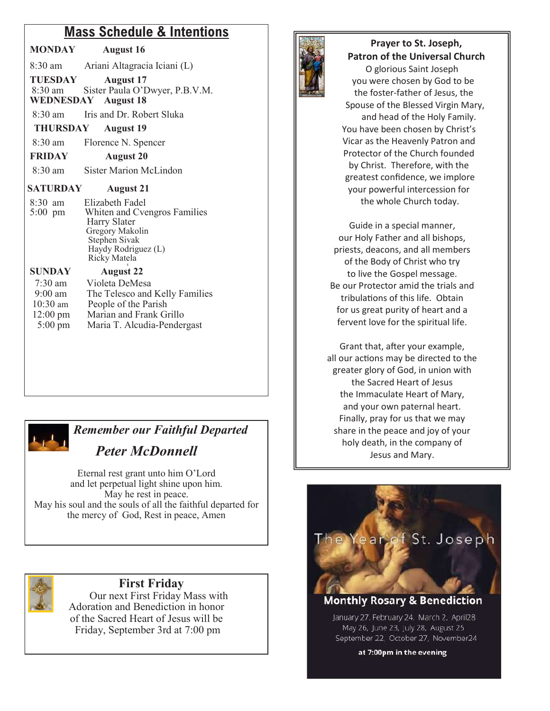## **Mass Schedule & Intentions**

| MONDAY | <b>August 16</b> |
|--------|------------------|
|        |                  |

8:30 am Ariani Altagracia Iciani (L)

**TUESDAY August 17** 8:30 am Sister Paula O'Dwyer, P.B.V.M. **WEDNESDAY August 18**

8:30 am Iris and Dr. Robert Sluka

**THURSDAY August 19**

8:30 am Florence N. Spencer

**FRIDAY August 20**

8:30 am Sister Marion McLindon

#### **SATURDAY August 21**

| $8:30$ am | Elizabeth Fadel              |
|-----------|------------------------------|
| $5:00$ pm | Whiten and Cvengros Families |
|           | Harry Slater                 |
|           | Gregory Makolin              |
|           | Stephen Sivak                |
|           | Haydy Rodriguez (L)          |
|           | Ricky Matela                 |
|           |                              |

| <b>SUNDAY</b>        | <b>August 22</b>               |
|----------------------|--------------------------------|
| $7:30$ am            | Violeta DeMesa                 |
| $9:00$ am            | The Telesco and Kelly Families |
| $10:30$ am           | People of the Parish           |
| $12:00 \text{ pm}$   | Marian and Frank Grillo        |
| $5:00 \,\mathrm{pm}$ | Maria T. Alcudia-Pendergast    |

## *Remember our Faithful Departed*

## *Peter McDonnell*

Eternal rest grant unto him O'Lord and let perpetual light shine upon him. May he rest in peace. May his soul and the souls of all the faithful departed for the mercy of God, Rest in peace, Amen



### **First Friday**

 Our next First Friday Mass with Adoration and Benediction in honor of the Sacred Heart of Jesus will be Friday, September 3rd at 7:00 pm



#### **Prayer to St. Joseph, Patron of the Universal Church** O glorious Saint Joseph you were chosen by God to be the foster-father of Jesus, the Spouse of the Blessed Virgin Mary, and head of the Holy Family. You have been chosen by Christ's Vicar as the Heavenly Patron and Protector of the Church founded

 by Christ. Therefore, with the greatest confidence, we implore your powerful intercession for the whole Church today.

Guide in a special manner, our Holy Father and all bishops, priests, deacons, and all members of the Body of Christ who try to live the Gospel message. Be our Protector amid the trials and tribulations of this life. Obtain for us great purity of heart and a fervent love for the spiritual life.

Grant that, after your example, all our actions may be directed to the greater glory of God, in union with the Sacred Heart of Jesus the Immaculate Heart of Mary, and your own paternal heart. Finally, pray for us that we may share in the peace and joy of your holy death, in the company of Jesus and Mary.



May 26, June 23, July 28, August 25 September 22, October 27, November24

at 7:00pm in the evening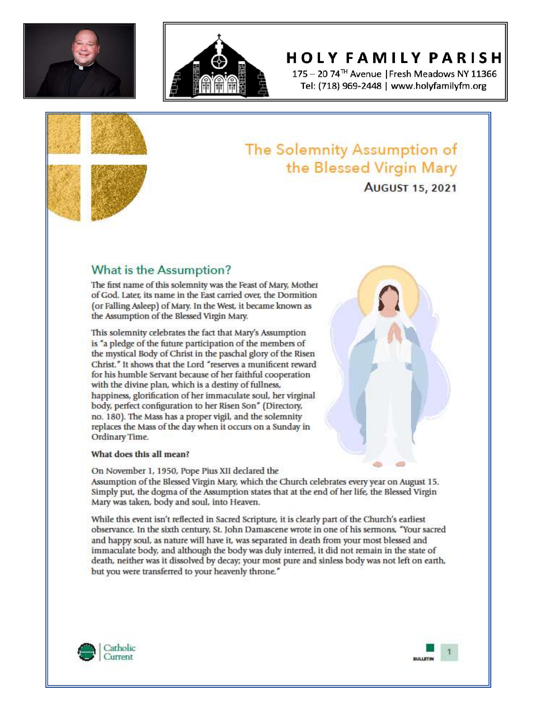



## **HOLY FAMILY PARISH**

175 - 20 74<sup>™</sup> Avenue | Fresh Meadows NY 11366 Tel: (718) 969-2448 | www.holyfamilyfm.org





# **AUGUST 15, 2021**

## What is the Assumption?

The first name of this solemnity was the Feast of Mary, Mother of God. Later, its name in the East carried over, the Dormition (or Falling Asleep) of Mary. In the West, it became known as the Assumption of the Blessed Virgin Mary.

This solemnity celebrates the fact that Mary's Assumption is "a pledge of the future participation of the members of the mystical Body of Christ in the paschal glory of the Risen Christ." It shows that the Lord "reserves a munificent reward for his humble Servant because of her faithful cooperation with the divine plan, which is a destiny of fullness, happiness, glorification of her immaculate soul, her virginal body, perfect configuration to her Risen Son" (Directory, no. 180). The Mass has a proper vigil, and the solemnity replaces the Mass of the day when it occurs on a Sunday in Ordinary Time.

#### What does this all mean?

On November 1, 1950, Pope Pius XII declared the Assumption of the Blessed Virgin Mary, which the Church celebrates every year on August 15. Simply put, the dogma of the Assumption states that at the end of her life, the Blessed Virgin Mary was taken, body and soul, into Heaven.

While this event isn't reflected in Sacred Scripture, it is clearly part of the Church's earliest observance. In the sixth century, St. John Damascene wrote in one of his sermons, "Your sacred and happy soul, as nature will have it, was separated in death from your most blessed and immaculate body, and although the body was duly interred, it did not remain in the state of death, neither was it dissolved by decay; your most pure and sinless body was not left on earth, but you were transferred to your heavenly throne."





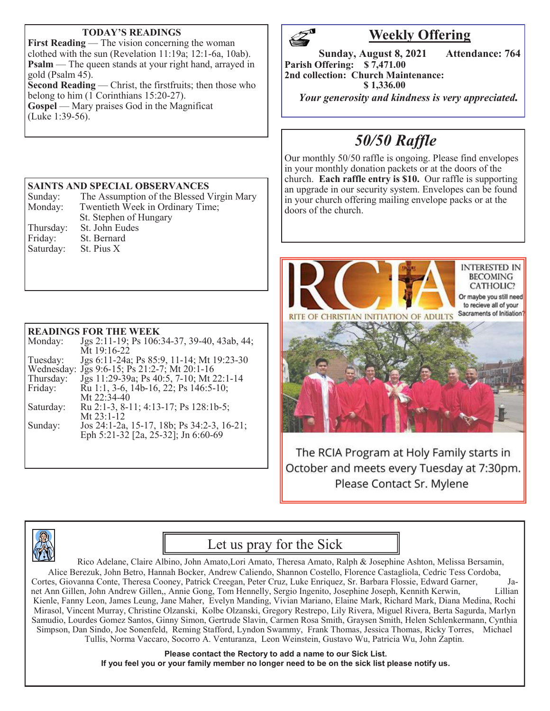#### **TODAY'S READINGS**

**First Reading** — The vision concerning the woman clothed with the sun (Revelation 11:19a; 12:1-6a, 10ab). **Psalm** — The queen stands at your right hand, arrayed in gold (Psalm  $45$ ). **Second Reading** — Christ, the firstfruits; then those who belong to him (1 Corinthians 15:20-27).

**Gospel** — Mary praises God in the Magnificat (Luke 1:39-56).

#### **SAINTS AND SPECIAL OBSERVANCES**

| Sunday:   | The Assumption of the Blessed Virgin Mary |
|-----------|-------------------------------------------|
| Monday:   | Twentieth Week in Ordinary Time;          |
|           | St. Stephen of Hungary                    |
| Thursday: | St. John Eudes                            |
| Friday:   | St. Bernard                               |
| Saturday: | St. Pius X                                |

#### **READINGS FOR THE WEEK**

| Monday:   | Jgs 2:11-19; Ps 106:34-37, 39-40, 43ab, 44;  |
|-----------|----------------------------------------------|
|           | Mt 19:16-22                                  |
| Tuesday:  | Jgs 6:11-24a; Ps 85:9, 11-14; Mt 19:23-30    |
|           | Wednesday: Jgs 9:6-15; Ps 21:2-7; Mt 20:1-16 |
| Thursday: | Jgs 11:29-39a; Ps 40:5, 7-10; Mt 22:1-14     |
| Friday:   | Ru 1:1, 3-6, 14b-16, 22; Ps 146:5-10;        |
|           | Mt 22:34-40                                  |
| Saturday: | Ru 2:1-3, 8-11; 4:13-17; Ps 128:1b-5;        |
|           | Mt $23:1-12$                                 |
| Sunday:   | Jos 24:1-2a, 15-17, 18b; Ps 34:2-3, 16-21;   |
|           | Eph 5:21-32 [2a, 25-32]; Jn 6:60-69          |
|           |                                              |



## **Weekly Offering**

**Sunday, August 8, 2021 Attendance: 764 Parish Offering: \$ 7,471.00 2nd collection: Church Maintenance: \$ 1,336.00**

 *Your generosity and kindness is very appreciated.* 

## *50/50 Raffle*

Our monthly 50/50 raffle is ongoing. Please find envelopes in your monthly donation packets or at the doors of the church. **Each raffle entry is \$10.** Our raffle is supporting an upgrade in our security system. Envelopes can be found in your church offering mailing envelope packs or at the doors of the church.



The RCIA Program at Holy Family starts in October and meets every Tuesday at 7:30pm. Please Contact Sr. Mylene



## Let us pray for the Sick

Rico Adelane, Claire Albino, John Amato,Lori Amato, Theresa Amato, Ralph & Josephine Ashton, Melissa Bersamin, Alice Berezuk, John Betro, Hannah Bocker, Andrew Caliendo, Shannon Costello, Florence Castagliola, Cedric Tess Cordoba, Cortes, Giovanna Conte, Theresa Cooney, Patrick Creegan, Peter Cruz, Luke Enriquez, Sr. Barbara Flossie, Edward Garner, Janet Ann Gillen, John Andrew Gillen,, Annie Gong, Tom Hennelly, Sergio Ingenito, Josephine Joseph, Kennith Kerwin, Lillian Kienle, Fanny Leon, James Leung, Jane Maher, Evelyn Manding, Vivian Mariano, Elaine Mark, Richard Mark, Diana Medina, Rochi Mirasol, Vincent Murray, Christine Olzanski, Kolbe Olzanski, Gregory Restrepo, Lily Rivera, Miguel Rivera, Berta Sagurda, Marlyn Samudio, Lourdes Gomez Santos, Ginny Simon, Gertrude Slavin, Carmen Rosa Smith, Graysen Smith, Helen Schlenkermann, Cynthia Simpson, Dan Sindo, Joe Sonenfeld, Reming Stafford, Lyndon Swammy, Frank Thomas, Jessica Thomas, Ricky Torres, Michael Tullis, Norma Vaccaro, Socorro A. Venturanza, Leon Weinstein, Gustavo Wu, Patricia Wu, John Zaptin.

> **Please contact the Rectory to add a name to our Sick List. If you feel you or your family member no longer need to be on the sick list please notify us.**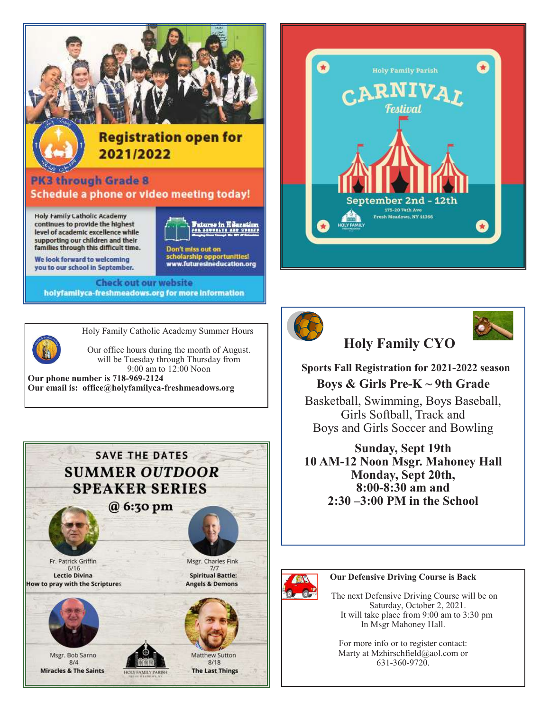

We look forward to welcoming you to our school in September.

**Check out our website** holyfamilyca-freshmeadows.org for more information



Holy Family Catholic Academy Summer Hours

scholarship opportunities!<br>www.futuresineducation.org

 Our office hours during the month of August. will be Tuesday through Thursday from 9:00 am to 12:00 Noon **Our phone number is 718-969-2124** 

**Our email is: office@holyfamilyca-freshmeadows.org**









 **Sports Fall Registration for 2021-2022 season Boys & Girls Pre-K ~ 9th Grade**

**Holy Family CYO**

Basketball, Swimming, Boys Baseball, Girls Softball, Track and Boys and Girls Soccer and Bowling

**Sunday, Sept 19th 10 AM-12 Noon Msgr. Mahoney Hall Monday, Sept 20th, 8:00-8:30 am and 2:30 –3:00 PM in the School**



#### **Our Defensive Driving Course is Back**

 The next Defensive Driving Course will be on Saturday, October 2, 2021. It will take place from 9:00 am to 3:30 pm In Msgr Mahoney Hall.

For more info or to register contact: Marty at Mzhirschfield@aol.com or 631-360-9720.